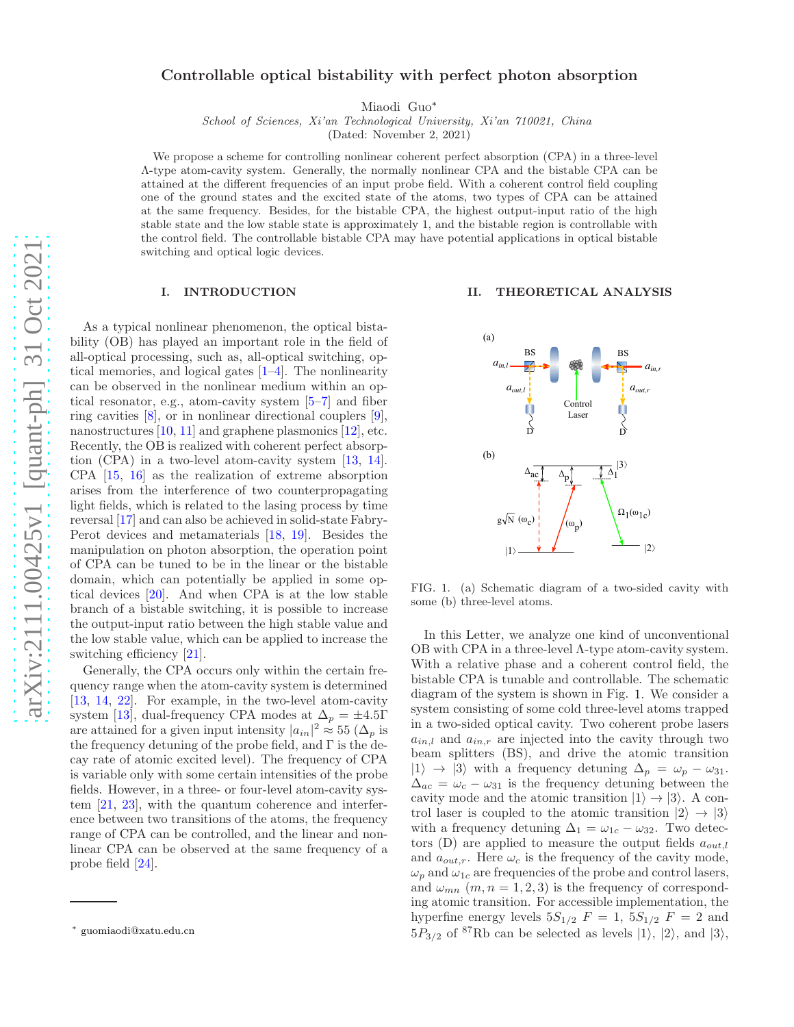# Controllable optical bistability with perfect photon absorption

Miaodi Guo[∗](#page-0-0)

School of Sciences, Xi'an Technological University, Xi'an 710021, China

(Dated: November 2, 2021)

We propose a scheme for controlling nonlinear coherent perfect absorption (CPA) in a three-level Λ-type atom-cavity system. Generally, the normally nonlinear CPA and the bistable CPA can be attained at the different frequencies of an input probe field. With a coherent control field coupling one of the ground states and the excited state of the atoms, two types of CPA can be attained at the same frequency. Besides, for the bistable CPA, the highest output-input ratio of the high stable state and the low stable state is approximately 1, and the bistable region is controllable with the control field. The controllable bistable CPA may have potential applications in optical bistable switching and optical logic devices.

### I. INTRODUCTION

As a typical nonlinear phenomenon, the optical bistability (OB) has played an important role in the field of all-optical processing, such as, all-optical switching, optical memories, and logical gates [1[–4\]](#page-3-0). The nonlinearity can be observed in the nonlinear medium within an optical resonator, e.g., atom-cavity system [\[5](#page-3-1)[–7\]](#page-3-2) and fiber ring cavities [\[8\]](#page-3-3), or in nonlinear directional couplers [\[9\]](#page-3-4), nanostructures [\[10](#page-3-5), [11\]](#page-3-6) and graphene plasmonics [\[12\]](#page-3-7), etc. Recently, the OB is realized with coherent perfect absorption (CPA) in a two-level atom-cavity system [\[13](#page-3-8), [14\]](#page-3-9). CPA [\[15](#page-3-10), [16\]](#page-3-11) as the realization of extreme absorption arises from the interference of two counterpropagating light fields, which is related to the lasing process by time reversal [\[17](#page-3-12)] and can also be achieved in solid-state Fabry-Perot devices and metamaterials [\[18](#page-3-13), [19\]](#page-4-0). Besides the manipulation on photon absorption, the operation point of CPA can be tuned to be in the linear or the bistable domain, which can potentially be applied in some optical devices [\[20\]](#page-4-1). And when CPA is at the low stable branch of a bistable switching, it is possible to increase the output-input ratio between the high stable value and the low stable value, which can be applied to increase the switching efficiency [\[21\]](#page-4-2).

Generally, the CPA occurs only within the certain frequency range when the atom-cavity system is determined [\[13,](#page-3-8) [14,](#page-3-9) [22\]](#page-4-3). For example, in the two-level atom-cavity system [\[13](#page-3-8)], dual-frequency CPA modes at  $\Delta_p = \pm 4.5\Gamma$ are attained for a given input intensity  $|a_{in}|^2 \approx 55 \; (\Delta_p \; \text{is})$ the frequency detuning of the probe field, and  $\Gamma$  is the decay rate of atomic excited level). The frequency of CPA is variable only with some certain intensities of the probe fields. However, in a three- or four-level atom-cavity system [\[21](#page-4-2), [23](#page-4-4)], with the quantum coherence and interference between two transitions of the atoms, the frequency range of CPA can be controlled, and the linear and nonlinear CPA can be observed at the same frequency of a probe field [\[24](#page-4-5)].

#### II. THEORETICAL ANALYSIS



<span id="page-0-1"></span>FIG. 1. (a) Schematic diagram of a two-sided cavity with some (b) three-level atoms.

In this Letter, we analyze one kind of unconventional OB with CPA in a three-level Λ-type atom-cavity system. With a relative phase and a coherent control field, the bistable CPA is tunable and controllable. The schematic diagram of the system is shown in Fig. [1.](#page-0-1) We consider a system consisting of some cold three-level atoms trapped in a two-sided optical cavity. Two coherent probe lasers  $a_{in,l}$  and  $a_{in,r}$  are injected into the cavity through two beam splitters (BS), and drive the atomic transition  $|1\rangle \rightarrow |3\rangle$  with a frequency detuning  $\Delta_p = \omega_p - \omega_{31}$ .  $\Delta_{ac} = \omega_c - \omega_{31}$  is the frequency detuning between the cavity mode and the atomic transition  $|1\rangle \rightarrow |3\rangle$ . A control laser is coupled to the atomic transition  $|2\rangle \rightarrow |3\rangle$ with a frequency detuning  $\Delta_1 = \omega_{1c} - \omega_{32}$ . Two detectors (D) are applied to measure the output fields  $a_{out,l}$ and  $a_{out,r}$ . Here  $\omega_c$  is the frequency of the cavity mode,  $\omega_p$  and  $\omega_{1c}$  are frequencies of the probe and control lasers, and  $\omega_{mn}$   $(m, n = 1, 2, 3)$  is the frequency of corresponding atomic transition. For accessible implementation, the hyperfine energy levels  $5S_{1/2}$   $F = 1$ ,  $5S_{1/2}$   $F = 2$  and  $5P_{3/2}$  of <sup>87</sup>Rb can be selected as levels  $|1\rangle$ ,  $|2\rangle$ , and  $|3\rangle$ ,

<span id="page-0-0"></span><sup>∗</sup> [guomiaodi@xatu.edu.cn](mailto:guomiaodi@xatu.edu.cn)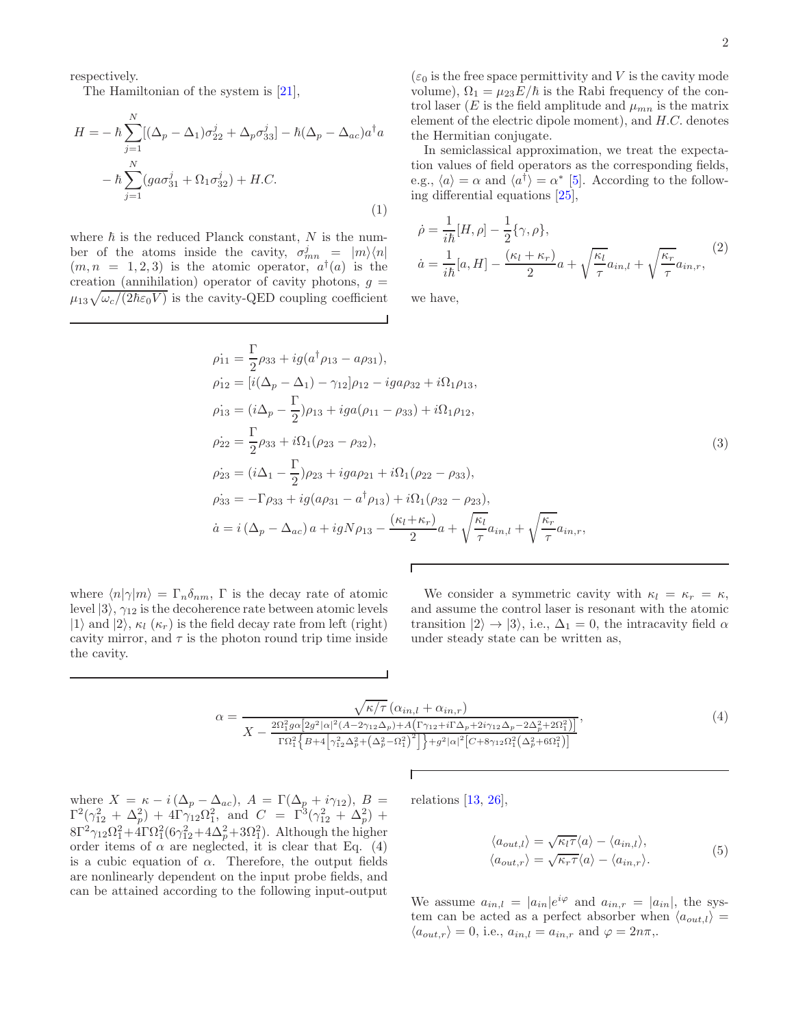respectively.

The Hamiltonian of the system is [\[21](#page-4-2)],

$$
H = -\hbar \sum_{j=1}^{N} [(\Delta_p - \Delta_1)\sigma_{22}^j + \Delta_p \sigma_{33}^j] - \hbar (\Delta_p - \Delta_{ac})a^{\dagger} a
$$

$$
-\hbar \sum_{j=1}^{N} (g a \sigma_{31}^j + \Omega_1 \sigma_{32}^j) + H.C.
$$
 $(1)$ 

where  $\hbar$  is the reduced Planck constant, N is the number of the atoms inside the cavity,  $\sigma_{mn}^j = |m\rangle\langle n|$  $(m, n = 1, 2, 3)$  is the atomic operator,  $a^{\dagger}(a)$  is the creation (annihilation) operator of cavity photons,  $g =$  $\mu_{13}\sqrt{\omega_c/(2\hbar\varepsilon_0V)}$  is the cavity-QED coupling coefficient  $(\varepsilon_0$  is the free space permittivity and V is the cavity mode volume),  $\Omega_1 = \mu_{23} E/\hbar$  is the Rabi frequency of the control laser (E is the field amplitude and  $\mu_{mn}$  is the matrix element of the electric dipole moment), and H.C. denotes the Hermitian conjugate.

In semiclassical approximation, we treat the expectation values of field operators as the corresponding fields, e.g.,  $\langle a \rangle = \alpha$  and  $\langle a^{\dagger} \rangle = \alpha^*$  [\[5\]](#page-3-1). According to the following differential equations [\[25\]](#page-4-6),

$$
\dot{\rho} = \frac{1}{i\hbar} [H, \rho] - \frac{1}{2} \{ \gamma, \rho \},
$$
  
\n
$$
\dot{a} = \frac{1}{i\hbar} [a, H] - \frac{(\kappa_l + \kappa_r)}{2} a + \sqrt{\frac{\kappa_l}{\tau}} a_{in,l} + \sqrt{\frac{\kappa_r}{\tau}} a_{in,r},
$$
\n(2)

we have,

$$
\rho_{11} = \frac{\Gamma}{2}\rho_{33} + ig(a^{\dagger}\rho_{13} - a\rho_{31}), \n\rho_{12} = [i(\Delta_p - \Delta_1) - \gamma_{12}]\rho_{12} - iga\rho_{32} + i\Omega_1\rho_{13}, \n\rho_{13} = (i\Delta_p - \frac{\Gamma}{2})\rho_{13} + iga(\rho_{11} - \rho_{33}) + i\Omega_1\rho_{12}, \n\rho_{22} = \frac{\Gamma}{2}\rho_{33} + i\Omega_1(\rho_{23} - \rho_{32}), \n\rho_{23} = (i\Delta_1 - \frac{\Gamma}{2})\rho_{23} + iga\rho_{21} + i\Omega_1(\rho_{22} - \rho_{33}), \n\rho_{33} = -\Gamma\rho_{33} + ig(a\rho_{31} - a^{\dagger}\rho_{13}) + i\Omega_1(\rho_{32} - \rho_{23}), \n\dot{a} = i(\Delta_p - \Delta_{ac})a + igN\rho_{13} - \frac{(\kappa_l + \kappa_r)}{2}a + \sqrt{\frac{\kappa_l}{\tau}}a_{in,l} + \sqrt{\frac{\kappa_r}{\tau}}a_{in,r},
$$
\n(11)

where  $\langle n|\gamma|m\rangle = \Gamma_n \delta_{nm}$ , Γ is the decay rate of atomic level  $|3\rangle$ ,  $\gamma_{12}$  is the decoherence rate between atomic levels  $|1\rangle$  and  $|2\rangle$ ,  $\kappa_l$  ( $\kappa_r$ ) is the field decay rate from left (right) cavity mirror, and  $\tau$  is the photon round trip time inside the cavity.

We consider a symmetric cavity with  $\kappa_l = \kappa_r = \kappa$ , and assume the control laser is resonant with the atomic transition  $|2\rangle \rightarrow |3\rangle$ , i.e.,  $\Delta_1 = 0$ , the intracavity field  $\alpha$ under steady state can be written as,

<span id="page-1-0"></span>
$$
\alpha = \frac{\sqrt{\kappa/\tau} \left( \alpha_{in,l} + \alpha_{in,r} \right)}{X - \frac{2\Omega_1^2 g \alpha \left[ 2g^2 |\alpha|^2 (A - 2\gamma_{12}\Delta_p) + A \left( \Gamma \gamma_{12} + i\Gamma \Delta_p + 2i\gamma_{12}\Delta_p - 2\Delta_p^2 + 2\Omega_1^2 \right) \right]}{\Gamma \Omega_1^2 \left\{ B + 4 \left[ \gamma_{12}^2 \Delta_p^2 + \left( \Delta_p^2 - \Omega_1^2 \right)^2 \right] \right\} + g^2 |\alpha|^2 \left[ C + 8\gamma_{12}\Omega_1^2 \left( \Delta_p^2 + 6\Omega_1^2 \right) \right]}}\tag{4}
$$

where  $X = \kappa - i(\Delta_p - \Delta_{ac}), A = \Gamma(\Delta_p + i\gamma_{12}), B =$  $\Gamma^2(\gamma_{12}^2 + \Delta_p^2) + 4\Gamma\gamma_{12}\Omega_1^2$ , and  $C = \Gamma^3(\gamma_{12}^2 + \Delta_p^2) +$  $8\Gamma^2\gamma_{12}\Omega_1^2+4\Gamma\Omega_1^2(6\gamma_{12}^2+4\Delta_p^2+3\Omega_1^2)$ . Although the higher order items of  $\alpha$  are neglected, it is clear that Eq. [\(4\)](#page-1-0) is a cubic equation of  $\alpha$ . Therefore, the output fields are nonlinearly dependent on the input probe fields, and can be attained according to the following input-output

relations [\[13](#page-3-8), [26](#page-4-7)],

$$
\langle a_{out,l} \rangle = \sqrt{\kappa_l \tau} \langle a \rangle - \langle a_{in,l} \rangle, \langle a_{out,r} \rangle = \sqrt{\kappa_r \tau} \langle a \rangle - \langle a_{in,r} \rangle.
$$
\n(5)

We assume  $a_{in,l} = |a_{in}|e^{i\varphi}$  and  $a_{in,r} = |a_{in}|$ , the system can be acted as a perfect absorber when  $\langle a_{out,l} \rangle =$  $\langle a_{out,r} \rangle = 0$ , i.e.,  $a_{in,l} = a_{in,r}$  and  $\varphi = 2n\pi$ ,.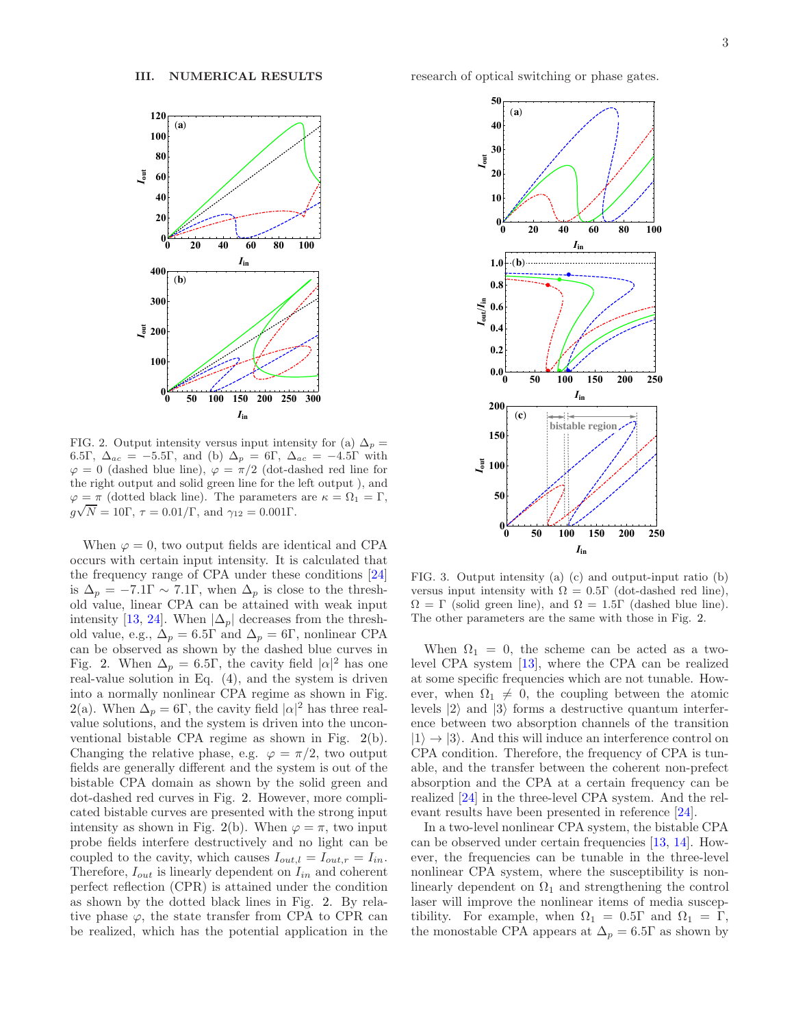

<span id="page-2-0"></span>FIG. 2. Output intensity versus input intensity for (a)  $\Delta_p =$ 6.5Γ,  $\Delta_{ac} = -5.5\Gamma$ , and (b)  $\Delta_p = 6\Gamma$ ,  $\Delta_{ac} = -4.5\Gamma$  with  $\varphi = 0$  (dashed blue line),  $\varphi = \pi/2$  (dot-dashed red line for the right output and solid green line for the left output ), and  $\varphi = \pi$  (dotted black line). The parameters are  $\kappa = \Omega_1 = \Gamma$ ,  $g\sqrt{N} = 10\Gamma, \tau = 0.01/\Gamma, \text{ and } \gamma_{12} = 0.001\Gamma.$ 

When  $\varphi = 0$ , two output fields are identical and CPA occurs with certain input intensity. It is calculated that the frequency range of CPA under these conditions [\[24](#page-4-5)] is  $\Delta_p = -7.1\Gamma \sim 7.1\Gamma$ , when  $\Delta_p$  is close to the threshold value, linear CPA can be attained with weak input intensity [\[13,](#page-3-8) [24\]](#page-4-5). When  $|\Delta_p|$  decreases from the threshold value, e.g.,  $\Delta_p = 6.5\Gamma$  and  $\Delta_p = 6\Gamma$ , nonlinear CPA can be observed as shown by the dashed blue curves in Fig. [2.](#page-2-0) When  $\Delta_p = 6.5\Gamma$ , the cavity field  $|\alpha|^2$  has one real-value solution in Eq. [\(4\)](#page-1-0), and the system is driven into a normally nonlinear CPA regime as shown in Fig. [2\(](#page-2-0)a). When  $\Delta_p = 6\Gamma$ , the cavity field  $|\alpha|^2$  has three realvalue solutions, and the system is driven into the unconventional bistable CPA regime as shown in Fig. [2\(](#page-2-0)b). Changing the relative phase, e.g.  $\varphi = \pi/2$ , two output fields are generally different and the system is out of the bistable CPA domain as shown by the solid green and dot-dashed red curves in Fig. [2.](#page-2-0) However, more complicated bistable curves are presented with the strong input intensity as shown in Fig. [2\(](#page-2-0)b). When  $\varphi = \pi$ , two input probe fields interfere destructively and no light can be coupled to the cavity, which causes  $I_{out,l} = I_{out,r} = I_{in}$ . Therefore,  $I_{out}$  is linearly dependent on  $I_{in}$  and coherent perfect reflection (CPR) is attained under the condition as shown by the dotted black lines in Fig. [2.](#page-2-0) By relative phase  $\varphi$ , the state transfer from CPA to CPR can be realized, which has the potential application in the



<span id="page-2-1"></span>FIG. 3. Output intensity (a) (c) and output-input ratio (b) versus input intensity with  $\Omega = 0.5\Gamma$  (dot-dashed red line),  $\Omega = \Gamma$  (solid green line), and  $\Omega = 1.5\Gamma$  (dashed blue line). The other parameters are the same with those in Fig. [2.](#page-2-0)

When  $\Omega_1 = 0$ , the scheme can be acted as a twolevel CPA system [\[13](#page-3-8)], where the CPA can be realized at some specific frequencies which are not tunable. However, when  $\Omega_1 \neq 0$ , the coupling between the atomic levels  $|2\rangle$  and  $|3\rangle$  forms a destructive quantum interference between two absorption channels of the transition  $|1\rangle \rightarrow |3\rangle$ . And this will induce an interference control on CPA condition. Therefore, the frequency of CPA is tunable, and the transfer between the coherent non-prefect absorption and the CPA at a certain frequency can be realized [\[24](#page-4-5)] in the three-level CPA system. And the relevant results have been presented in reference [\[24\]](#page-4-5).

In a two-level nonlinear CPA system, the bistable CPA can be observed under certain frequencies [\[13,](#page-3-8) [14\]](#page-3-9). However, the frequencies can be tunable in the three-level nonlinear CPA system, where the susceptibility is nonlinearly dependent on  $\Omega_1$  and strengthening the control laser will improve the nonlinear items of media susceptibility. For example, when  $\Omega_1 = 0.5\Gamma$  and  $\Omega_1 = \Gamma$ , the monostable CPA appears at  $\Delta_p = 6.5\Gamma$  as shown by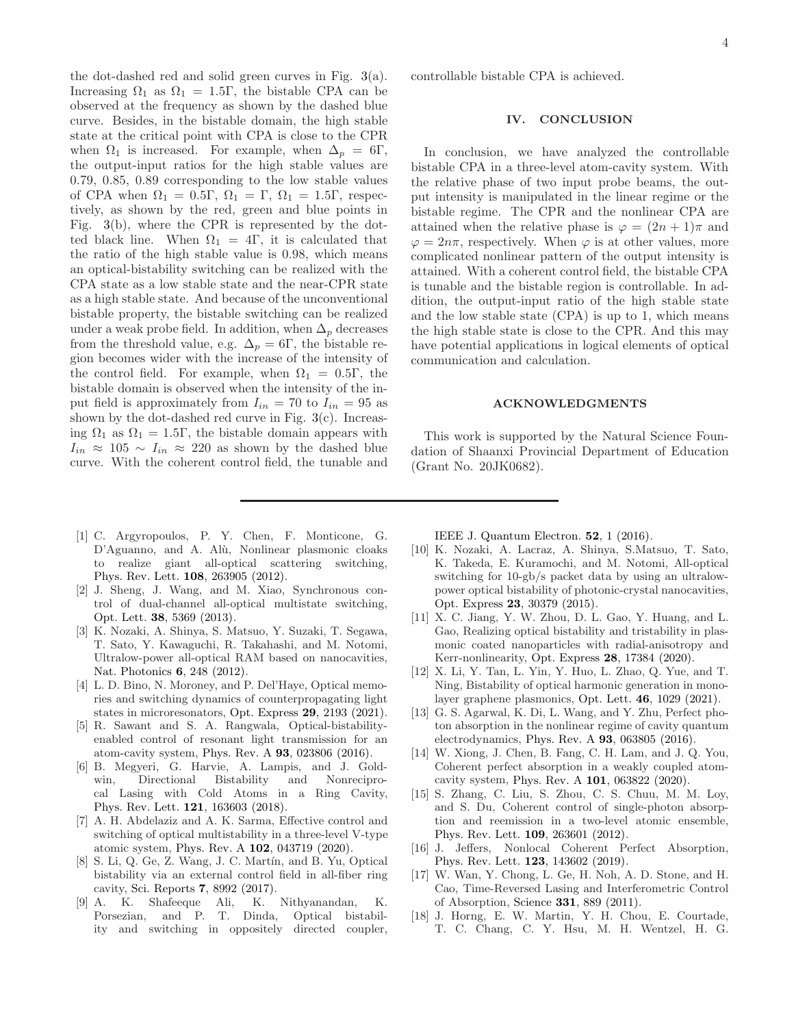the dot-dashed red and solid green curves in Fig. [3\(](#page-2-1)a). Increasing  $\Omega_1$  as  $\Omega_1 = 1.5\Gamma$ , the bistable CPA can be observed at the frequency as shown by the dashed blue curve. Besides, in the bistable domain, the high stable state at the critical point with CPA is close to the CPR when  $\Omega_1$  is increased. For example, when  $\Delta_p = 6\Gamma$ , the output-input ratios for the high stable values are 0.79, 0.85, 0.89 corresponding to the low stable values of CPA when  $\Omega_1 = 0.5\Gamma$ ,  $\Omega_1 = \Gamma$ ,  $\Omega_1 = 1.5\Gamma$ , respectively, as shown by the red, green and blue points in Fig. [3\(](#page-2-1)b), where the CPR is represented by the dotted black line. When  $\Omega_1 = 4\Gamma$ , it is calculated that the ratio of the high stable value is 0.98, which means an optical-bistability switching can be realized with the CPA state as a low stable state and the near-CPR state as a high stable state. And because of the unconventional bistable property, the bistable switching can be realized under a weak probe field. In addition, when  $\Delta_p$  decreases from the threshold value, e.g.  $\Delta_p = 6\Gamma$ , the bistable region becomes wider with the increase of the intensity of the control field. For example, when  $\Omega_1 = 0.5\Gamma$ , the bistable domain is observed when the intensity of the input field is approximately from  $I_{in} = 70$  to  $I_{in} = 95$  as shown by the dot-dashed red curve in Fig. [3\(](#page-2-1)c). Increasing  $\Omega_1$  as  $\Omega_1 = 1.5\Gamma$ , the bistable domain appears with  $I_{in} \approx 105 \sim I_{in} \approx 220$  as shown by the dashed blue curve. With the coherent control field, the tunable and

controllable bistable CPA is achieved.

## IV. CONCLUSION

In conclusion, we have analyzed the controllable bistable CPA in a three-level atom-cavity system. With the relative phase of two input probe beams, the output intensity is manipulated in the linear regime or the bistable regime. The CPR and the nonlinear CPA are attained when the relative phase is  $\varphi = (2n + 1)\pi$  and  $\varphi = 2n\pi$ , respectively. When  $\varphi$  is at other values, more complicated nonlinear pattern of the output intensity is attained. With a coherent control field, the bistable CPA is tunable and the bistable region is controllable. In addition, the output-input ratio of the high stable state and the low stable state (CPA) is up to 1, which means the high stable state is close to the CPR. And this may have potential applications in logical elements of optical communication and calculation.

#### ACKNOWLEDGMENTS

This work is supported by the Natural Science Foundation of Shaanxi Provincial Department of Education (Grant No. 20JK0682).

- [1] C. Argyropoulos, P. Y. Chen, F. Monticone, G. D'Aguanno, and A. Alù, Nonlinear plasmonic cloaks to realize giant all-optical scattering switching, [Phys. Rev. Lett.](https://doi.org/10.1103/PhysRevLett.108.263905) 108, 263905 (2012).
- [2] J. Sheng, J. Wang, and M. Xiao, Synchronous control of dual-channel all-optical multistate switching, Opt. Lett. 38[, 5369 \(2013\).](https://doi.org/10.1364/OL.38.005369)
- [3] K. Nozaki, A. Shinya, S. Matsuo, Y. Suzaki, T. Segawa, T. Sato, Y. Kawaguchi, R. Takahashi, and M. Notomi, Ultralow-power all-optical RAM based on nanocavities, [Nat. Photonics](https://doi.org/10.1038/nphoton.2012.2) 6, 248 (2012).
- <span id="page-3-0"></span>[4] L. D. Bino, N. Moroney, and P. Del'Haye, Optical memories and switching dynamics of counterpropagating light states in microresonators, Opt. Express 29[, 2193 \(2021\).](https://doi.org/10.1364/OE.417951)
- <span id="page-3-1"></span>[5] R. Sawant and S. A. Rangwala, Optical-bistabilityenabled control of resonant light transmission for an atom-cavity system, Phys. Rev. A 93[, 023806 \(2016\).](https://doi.org/10.1103/PhysRevA.93.023806)
- [6] B. Megyeri, G. Harvie, A. Lampis, and J. Goldwin, Directional Bistability and Nonreciprocal Lasing with Cold Atoms in a Ring Cavity, [Phys. Rev. Lett.](https://doi.org/10.1103/PhysRevLett.121.163603) 121, 163603 (2018).
- <span id="page-3-2"></span>[7] A. H. Abdelaziz and A. K. Sarma, Effective control and switching of optical multistability in a three-level V-type atomic system, Phys. Rev. A 102[, 043719 \(2020\).](https://doi.org/10.1103/PhysRevA.102.043719)
- <span id="page-3-3"></span>[8] S. Li, Q. Ge, Z. Wang, J. C. Martín, and B. Yu, Optical bistability via an external control field in all-fiber ring cavity, Sci. Reports 7[, 8992 \(2017\).](https://doi.org/10.1038/s41598-017-09570-x)
- <span id="page-3-4"></span>[9] A. K. Shafeeque Ali, K. Nithyanandan, K. Porsezian, and P. T. Dinda, Optical bistability and switching in oppositely directed coupler,

[IEEE J. Quantum Electron.](https://doi.org/10.1109/JQE.2016.2616130) 52, 1 (2016).

- <span id="page-3-5"></span>[10] K. Nozaki, A. Lacraz, A. Shinya, S.Matsuo, T. Sato, K. Takeda, E. Kuramochi, and M. Notomi, All-optical switching for 10-gb/s packet data by using an ultralowpower optical bistability of photonic-crystal nanocavities, Opt. Express 23[, 30379 \(2015\).](https://doi.org/10.1364/OE.23.030379)
- <span id="page-3-6"></span>[11] X. C. Jiang, Y. W. Zhou, D. L. Gao, Y. Huang, and L. Gao, Realizing optical bistability and tristability in plasmonic coated nanoparticles with radial-anisotropy and Kerr-nonlinearity, Opt. Express 28[, 17384 \(2020\).](https://doi.org/10.1364/oe.394605)
- <span id="page-3-7"></span>[12] X. Li, Y. Tan, L. Yin, Y. Huo, L. Zhao, Q. Yue, and T. Ning, Bistability of optical harmonic generation in monolayer graphene plasmonics, Opt. Lett. 46[, 1029 \(2021\).](https://doi.org/10.1364/OL.416543)
- <span id="page-3-8"></span>[13] G. S. Agarwal, K. Di, L. Wang, and Y. Zhu, Perfect photon absorption in the nonlinear regime of cavity quantum electrodynamics, Phys. Rev. A 93[, 063805 \(2016\).](https://doi.org/10.1103/PhysRevA.93.063805)
- <span id="page-3-9"></span>[14] W. Xiong, J. Chen, B. Fang, C. H. Lam, and J. Q. You, Coherent perfect absorption in a weakly coupled atomcavity system, Phys. Rev. A 101[, 063822 \(2020\).](https://doi.org/10.1103/PhysRevA.101.063822)
- <span id="page-3-10"></span>[15] S. Zhang, C. Liu, S. Zhou, C. S. Chuu, M. M. Loy, and S. Du, Coherent control of single-photon absorption and reemission in a two-level atomic ensemble, [Phys. Rev. Lett.](https://doi.org/10.1103/PhysRevLett.109.263601) 109, 263601 (2012).
- <span id="page-3-11"></span>[16] J. Jeffers, Nonlocal Coherent Perfect Absorption, [Phys. Rev. Lett.](https://doi.org/10.1103/PhysRevLett.123.143602) 123, 143602 (2019).
- <span id="page-3-12"></span>[17] W. Wan, Y. Chong, L. Ge, H. Noh, A. D. Stone, and H. Cao, Time-Reversed Lasing and Interferometric Control of Absorption, Science 331[, 889 \(2011\).](https://doi.org/10.1126/science.1200735)
- <span id="page-3-13"></span>[18] J. Horng, E. W. Martin, Y. H. Chou, E. Courtade, T. C. Chang, C. Y. Hsu, M. H. Wentzel, H. G.